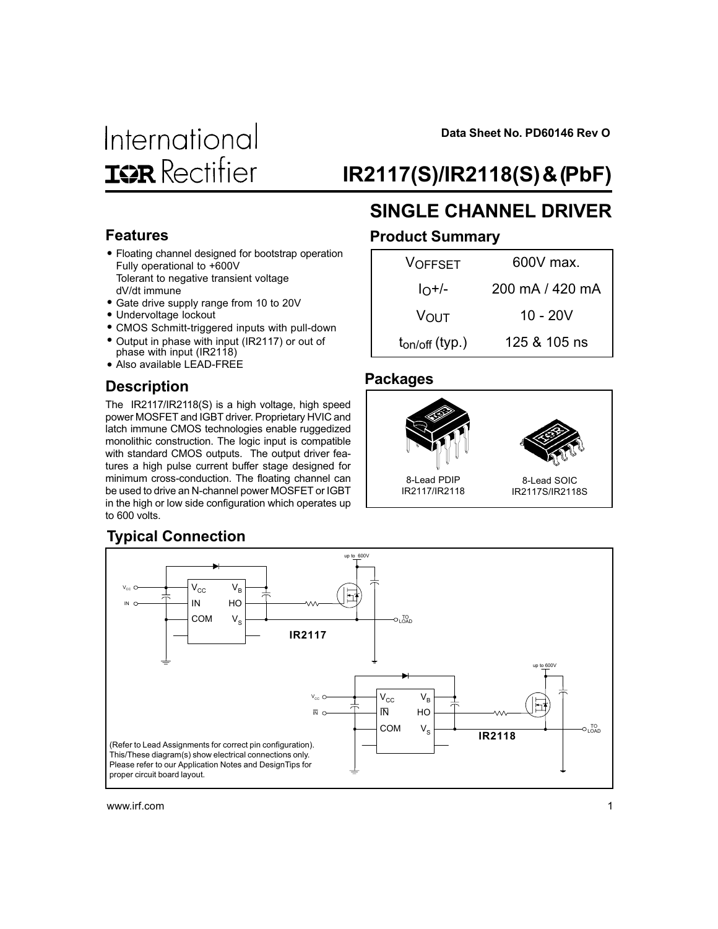

**Data Sheet No. PD60146 Rev O**

# IR2117(S)/IR2118(S) & (PbF)

### Features

- Floating channel designed for bootstrap operation Fully operational to +600V Tolerant to negative transient voltage dV/dt immune
- Gate drive supply range from 10 to 20V
- Undervoltage lockout
- CMOS Schmitt-triggered inputs with pull-down
- Output in phase with input (IR2117) or out of
- phase with input (IR2118) • Also available LEAD-FREE

### **Description**

The IR2117/IR2118(S) is a high voltage, high speed power MOSFET and IGBT driver. Proprietary HVIC and latch immune CMOS technologies enable ruggedized monolithic construction. The logic input is compatible with standard CMOS outputs. The output driver features a high pulse current buffer stage designed for minimum cross-conduction. The floating channel can be used to drive an N-channel power MOSFET or IGBT in the high or low side configuration which operates up to 600 volts.

## SINGLE CHANNEL DRIVER Product Summary

| VOFFSET             | 600V max.       |
|---------------------|-----------------|
| $I_O+/-$            | 200 mA / 420 mA |
| VOUT                | 10 - 20V        |
| $t_{on/off}$ (typ.) | 125 & 105 ns    |
|                     |                 |

### Packages



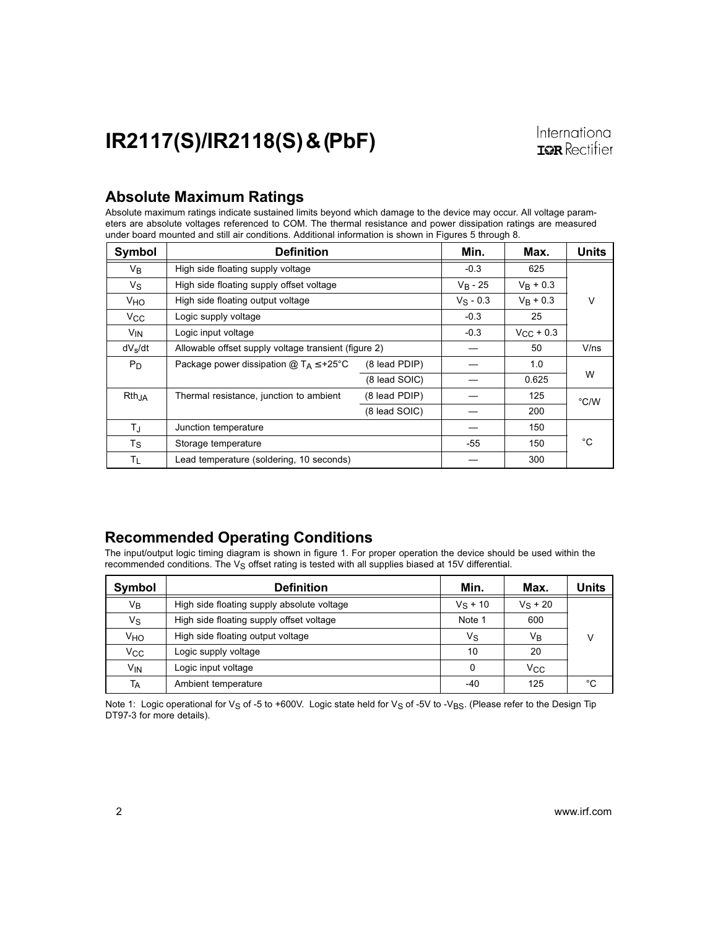### Absolute Maximum Ratings

Absolute maximum ratings indicate sustained limits beyond which damage to the device may occur. All voltage parameters are absolute voltages referenced to COM. The thermal resistance and power dissipation ratings are measured under board mounted and still air conditions. Additional information is shown in Figures 5 through 8.

| Symbol                | <b>Definition</b>                                    |               | Min.        | Max.               | <b>Units</b>  |
|-----------------------|------------------------------------------------------|---------------|-------------|--------------------|---------------|
| V <sub>B</sub>        | High side floating supply voltage                    |               | $-0.3$      | 625                |               |
| Vs                    | High side floating supply offset voltage             |               | $V_R - 25$  | $V_R + 0.3$        |               |
| V <sub>HO</sub>       | High side floating output voltage                    |               | $V_S - 0.3$ | $V_R + 0.3$        | $\vee$        |
| $V_{\rm CC}$          | Logic supply voltage                                 |               | $-0.3$      | 25                 |               |
| <b>V<sub>IN</sub></b> | Logic input voltage                                  |               | $-0.3$      | $V_{\rm CC}$ + 0.3 |               |
| $dV_s/dt$             | Allowable offset supply voltage transient (figure 2) |               |             | 50                 | V/ns          |
| P <sub>D</sub>        | Package power dissipation $@T_A \leq +25°C$          | (8 lead PDIP) |             | 1.0                |               |
|                       |                                                      | (8 lead SOIC) |             | 0.625              | W             |
| $Rth_{,IA}$           | Thermal resistance, junction to ambient              | (8 lead PDIP) |             | 125                | $\degree$ C/W |
|                       |                                                      | (8 lead SOIC) |             | 200                |               |
| TJ                    | Junction temperature                                 |               |             | 150                |               |
| $T_{\rm S}$           | Storage temperature                                  |               | $-55$       | 150                | °C            |
| Τı                    | Lead temperature (soldering, 10 seconds)             |               |             | 300                |               |

### Recommended Operating Conditions

The input/output logic timing diagram is shown in figure 1. For proper operation the device should be used within the recommended conditions. The  $V_S$  offset rating is tested with all supplies biased at 15V differential.

| Symbol          | <b>Definition</b>                          | Min.       | Max.         | Units |
|-----------------|--------------------------------------------|------------|--------------|-------|
| Vв              | High side floating supply absolute voltage | $V_S + 10$ | $V_S + 20$   |       |
| Vs              | High side floating supply offset voltage   | Note 1     | 600          |       |
| Vно             | High side floating output voltage          | Vs         | Vв           |       |
| Vcc             | Logic supply voltage                       | 10         | 20           |       |
| V <sub>IN</sub> | Logic input voltage                        | 0          | $V_{\rm CC}$ |       |
| Тд              | Ambient temperature                        | -40        | 125          | °C    |

Note 1: Logic operational for V<sub>S</sub> of -5 to +600V. Logic state held for V<sub>S</sub> of -5V to -V<sub>BS</sub>. (Please refer to the Design Tip DT97-3 for more details).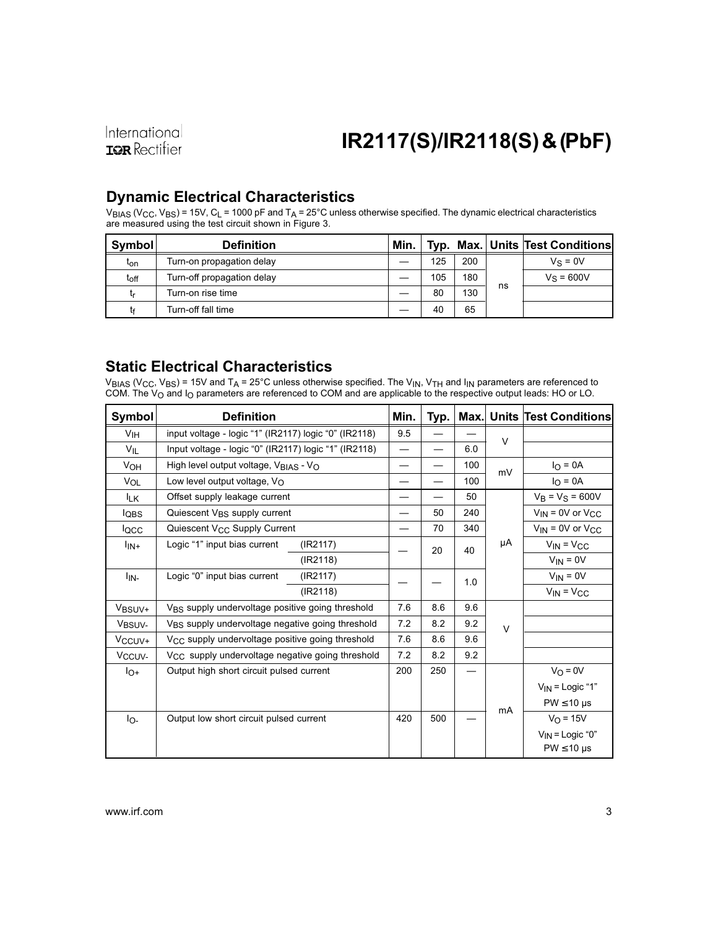International **IOR** Rectifier

# IR2117(S)/IR2118(S) & (PbF)

### Dynamic Electrical Characteristics

 $V_{BIAS}$  (V<sub>CC</sub>, V<sub>BS</sub>) = 15V, C<sub>L</sub> = 1000 pF and T<sub>A</sub> = 25°C unless otherwise specified. The dynamic electrical characteristics are measured using the test circuit shown in Figure 3.

| Symbol           | <b>Definition</b>          | Min. |     |     |    | Typ. Max. Units Test Conditions |
|------------------|----------------------------|------|-----|-----|----|---------------------------------|
| t <sub>on</sub>  | Turn-on propagation delay  |      | 125 | 200 |    | $V_S = 0V$                      |
| t <sub>off</sub> | Turn-off propagation delay |      | 105 | 180 |    | $V_S = 600V$                    |
| L۳               | Turn-on rise time          |      | 80  | 130 | ns |                                 |
|                  | Turn-off fall time         |      | 40  | 65  |    |                                 |

### Static Electrical Characteristics

 $\rm{V_{BIAS}}$  (V $\rm{_{CC}}$ , V $\rm{_{BS}}$ ) = 15V and T $\rm{_{A}}$  = 25°C unless otherwise specified. The V $\rm{_{Nb}}$  V $\rm{_{TH}}$  and I $\rm{_{IN}}$  parameters are referenced to COM. The V<sub>O</sub> and I<sub>O</sub> parameters are referenced to COM and are applicable to the respective output leads: HO or LO.

| Symbol              | <b>Definition</b>                                            | Min.                     | Typ. |     |        | <b>Max. Units Test Conditions</b> |                   |
|---------------------|--------------------------------------------------------------|--------------------------|------|-----|--------|-----------------------------------|-------------------|
| V <sub>IH</sub>     | input voltage - logic "1" (IR2117) logic "0" (IR2118)        | 9.5                      |      |     | $\vee$ |                                   |                   |
| $V_{IL}$            | Input voltage - logic "0" (IR2117) logic "1" (IR2118)        |                          |      | 6.0 |        |                                   |                   |
| V <sub>OH</sub>     | High level output voltage, VBIAS - VO                        |                          |      | 100 | mV     | $I_{\Omega} = 0A$                 |                   |
| VOL                 | Low level output voltage, $V_{\Omega}$                       |                          |      | 100 |        | $IO = 0A$                         |                   |
| IΓK                 | Offset supply leakage current                                |                          |      | 50  |        | $V_B = V_S = 600V$                |                   |
| <b>l</b> QBS        | Quiescent V <sub>BS</sub> supply current                     | $\overline{\phantom{0}}$ | 50   | 240 |        | $V_{IN}$ = 0V or $V_{CC}$         |                   |
| locc                | Quiescent V <sub>CC</sub> Supply Current                     |                          | 70   | 340 |        | $V_{IN}$ = 0V or $V_{CC}$         |                   |
| $I_{IN+}$           | Logic "1" input bias current<br>(IR2117)                     |                          |      | 20  | 40     | μA                                | $V_{IN} = V_{CC}$ |
|                     | (IR2118)                                                     |                          |      |     |        | $V_{IN} = 0V$                     |                   |
| l <sub>IN-</sub>    | Logic "0" input bias current<br>(IR2117)                     |                          |      | 1.0 |        | $V_{IN} = 0V$                     |                   |
|                     | (IR2118)                                                     |                          |      |     |        | $V_{IN} = V_{CC}$                 |                   |
| V <sub>BSUV+</sub>  | V <sub>BS</sub> supply undervoltage positive going threshold | 7.6                      | 8.6  | 9.6 |        |                                   |                   |
| V <sub>BSUV-</sub>  | VBS supply undervoltage negative going threshold             |                          | 8.2  | 9.2 | $\vee$ |                                   |                   |
| V <sub>CCUV</sub> + | V <sub>CC</sub> supply undervoltage positive going threshold | 7.6                      | 8.6  | 9.6 |        |                                   |                   |
| V <sub>CCUV-</sub>  | $V_{CC}$ supply undervoltage negative going threshold        | 7.2                      | 8.2  | 9.2 |        |                                   |                   |
| $I_{O+}$            | Output high short circuit pulsed current                     | 200                      | 250  |     |        | $V_O = 0V$                        |                   |
|                     |                                                              |                          |      |     |        | $V_{IN}$ = Logic "1"              |                   |
|                     |                                                              |                          |      |     |        | $PW \leq 10 \mu s$                |                   |
| lo-                 | Output low short circuit pulsed current                      | 420                      | 500  |     | mA     | $V_{O} = 15V$                     |                   |
|                     |                                                              |                          |      |     |        | $V_{IN}$ = Logic "0"              |                   |
|                     |                                                              |                          |      |     |        | $PW \leq 10 \mu s$                |                   |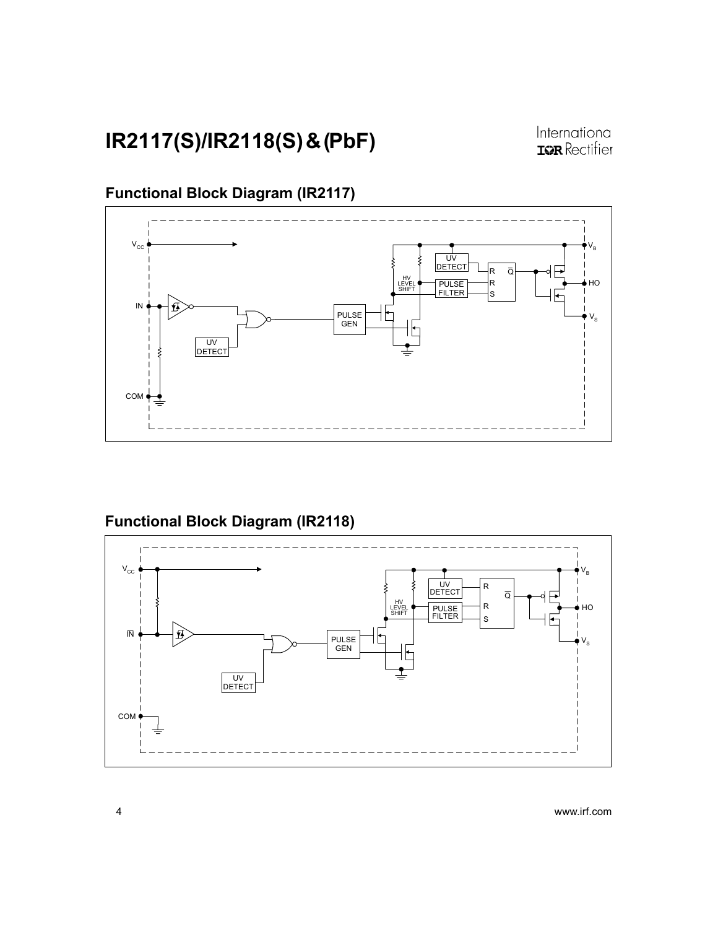### Functional Block Diagram (IR2117)



## Functional Block Diagram (IR2118)

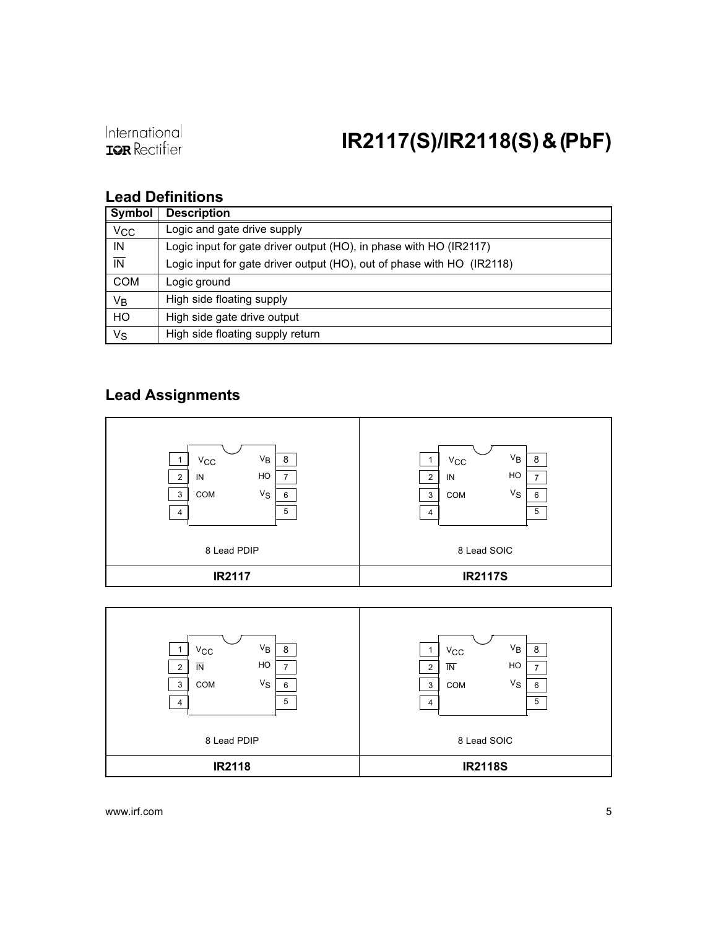### Lead Definitions

| <b>Symbol</b>            | <b>Description</b>                                                     |
|--------------------------|------------------------------------------------------------------------|
| <b>V<sub>CC</sub></b>    | Logic and gate drive supply                                            |
| IN                       | Logic input for gate driver output (HO), in phase with HO (IR2117)     |
| $\overline{\mathsf{IN}}$ | Logic input for gate driver output (HO), out of phase with HO (IR2118) |
| <b>COM</b>               | Logic ground                                                           |
| Vв                       | High side floating supply                                              |
| HO                       | High side gate drive output                                            |
| Vs                       | High side floating supply return                                       |

### Lead Assignments



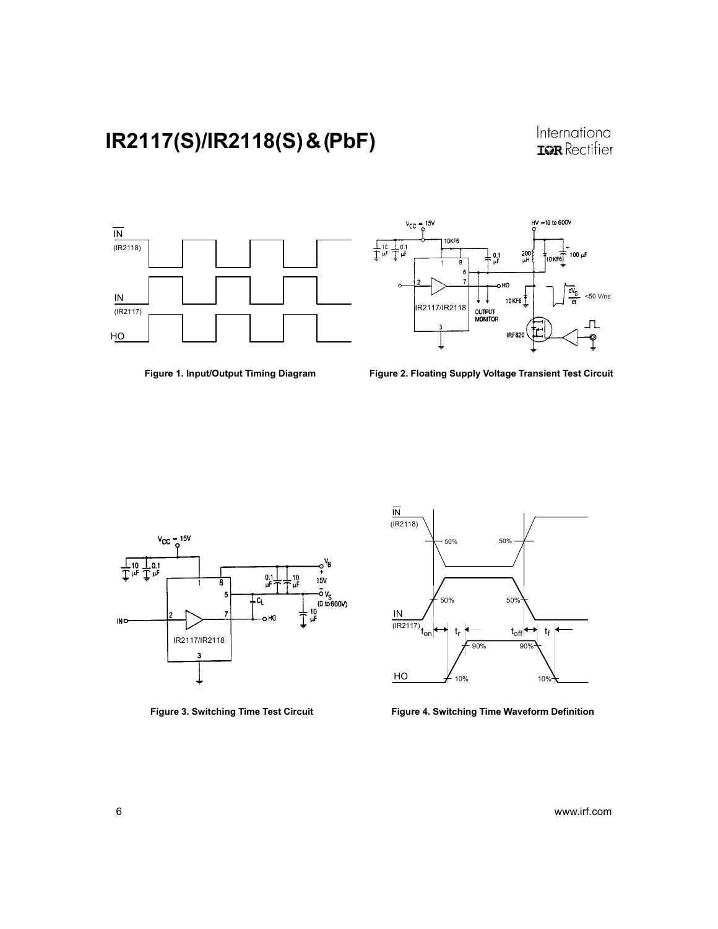International<br>**IGR** Rectifier



Figure 1. Input/Output Timing Diagram



Figure 2. Floating Supply Voltage Transient Test Circuit





Figure 3. Switching Time Test Circuit Figure 4. Switching Time Waveform Definition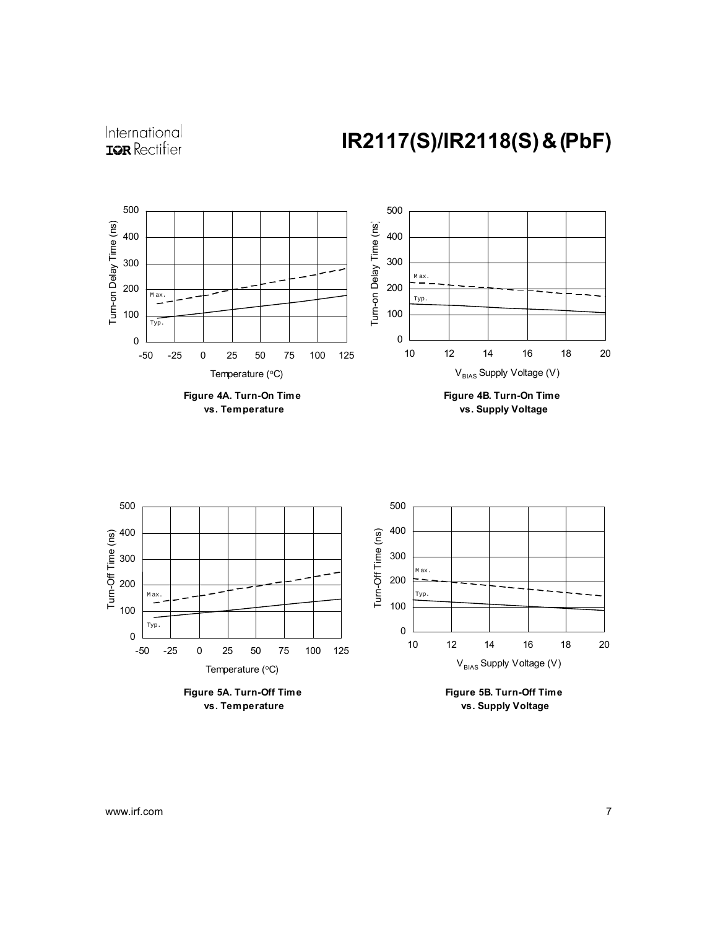



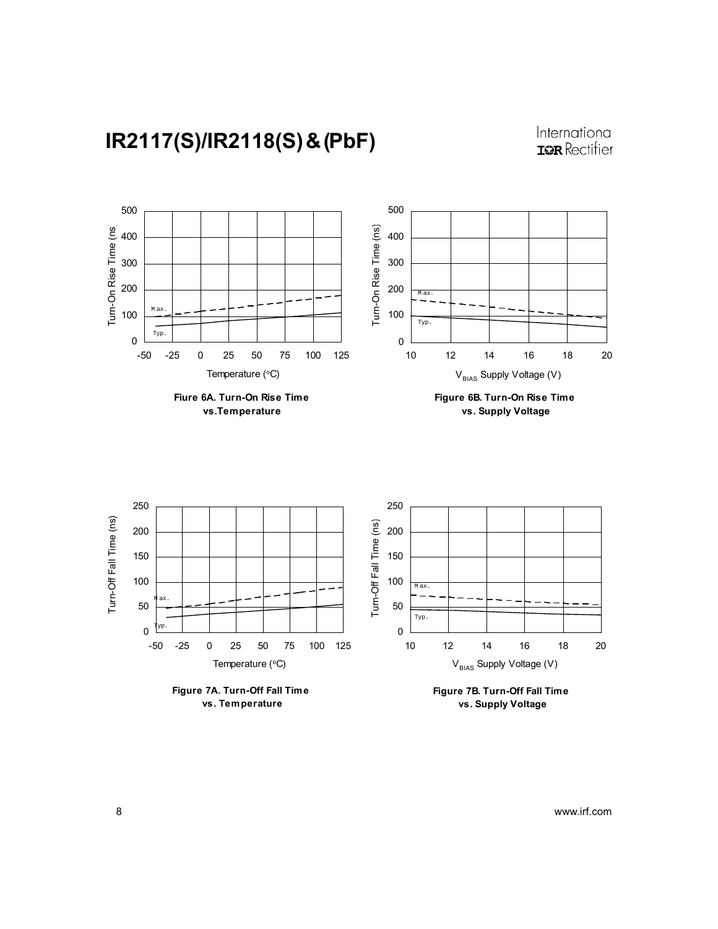





 **vs. Supply Voltage**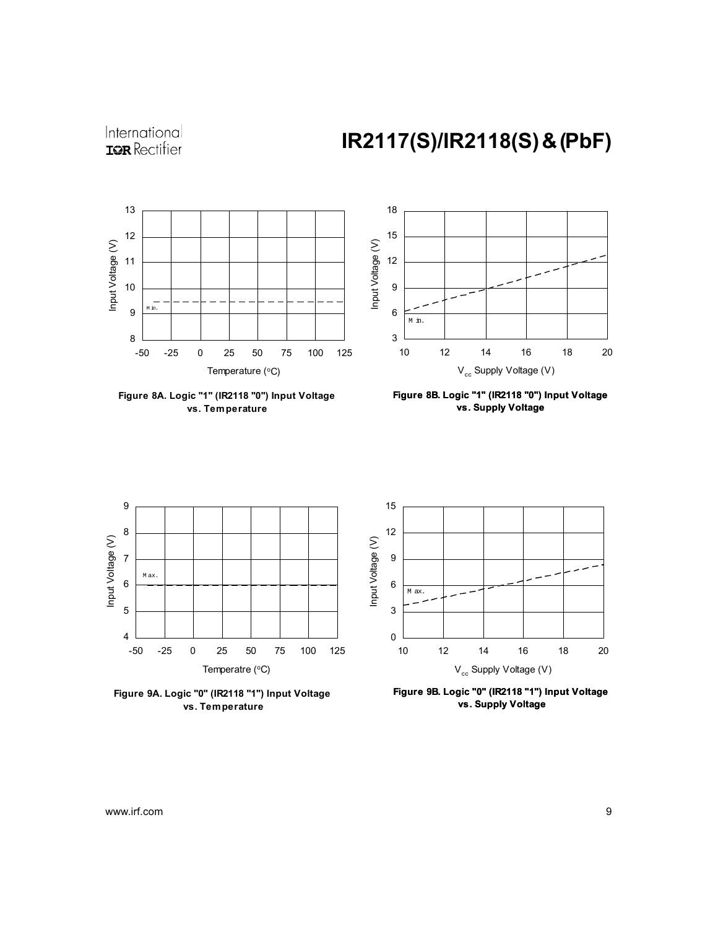



**Figure 8A. Logic "1" (IR2118 "0") Input Voltage vs. Temperature**



**Figure 8B. Logic "1" (IR2118 "0") Input Voltage vs. Supply Voltage**



**Figure 9A. Logic "0" (IR2118 "1") Input Voltage vs. Temperature**



**Figure 9B. Logic "0" (IR2118 "1") Input Voltage vs. Supply Voltage**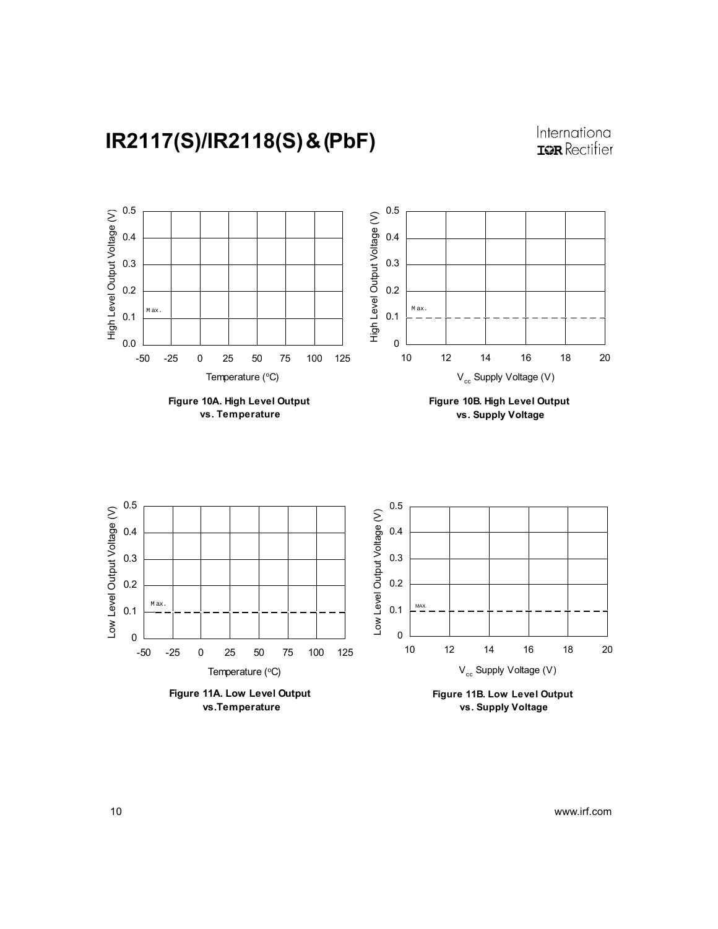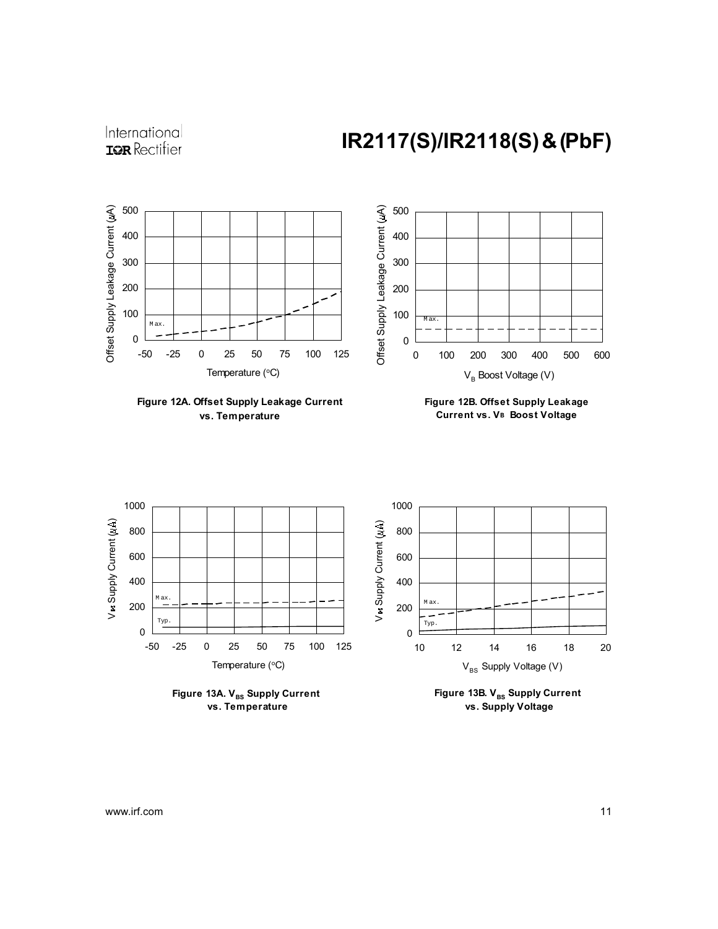



**Figure 12A. Offset Supply Leakage Current vs. Temperature**





Figure 13A. V<sub>BS</sub> Supply Current  **vs. Temperature**

Figure 13B. V<sub>BS</sub> Supply Current  **vs. Supply Voltage**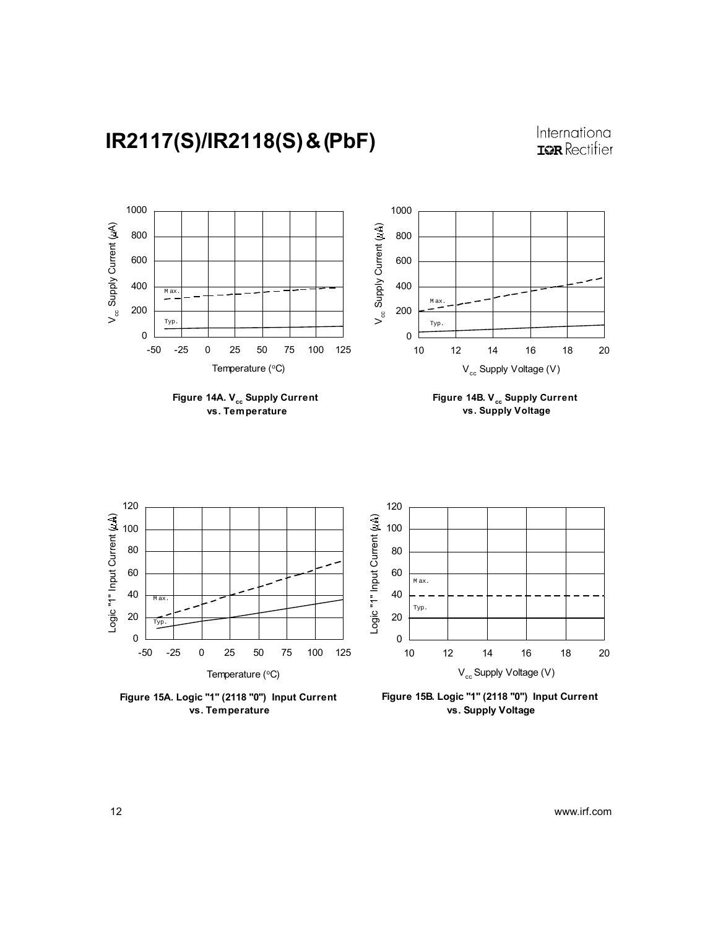



**Figure 15A. Logic "1" (2118 "0") Input Current vs. Temperature**



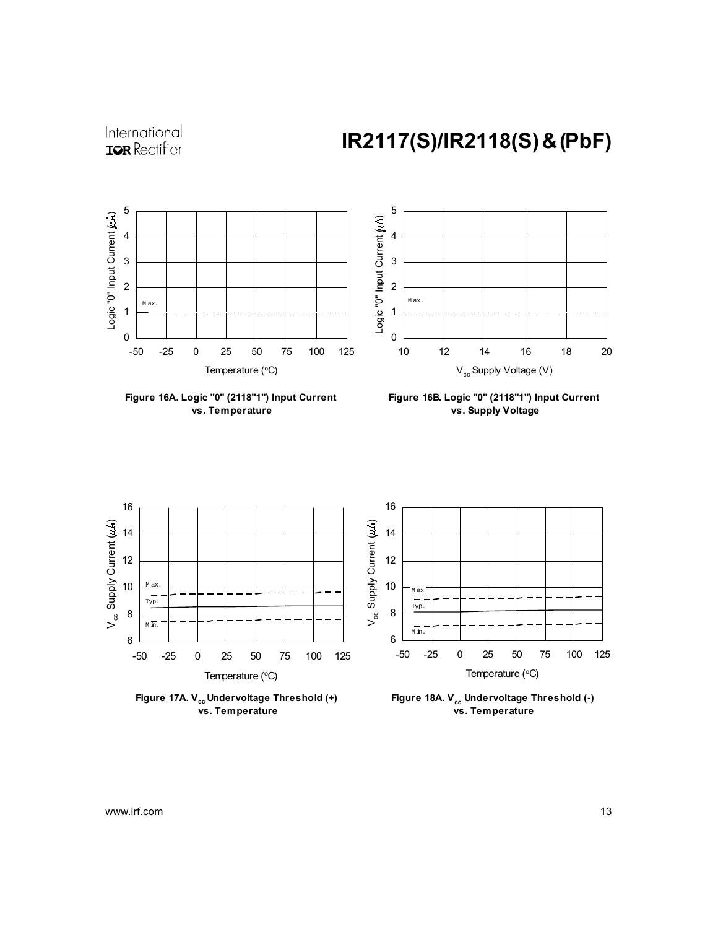

International **IOR** Rectifier

**Figure 16A. Logic "0" (2118"1") Input Current vs. Temperature**



**Figure 16B. Logic "0" (2118"1") Input Current vs. Supply Voltage**



Figure 17A. V<sub>cc</sub> Undervoltage Threshold (+)  **vs. Temperature**

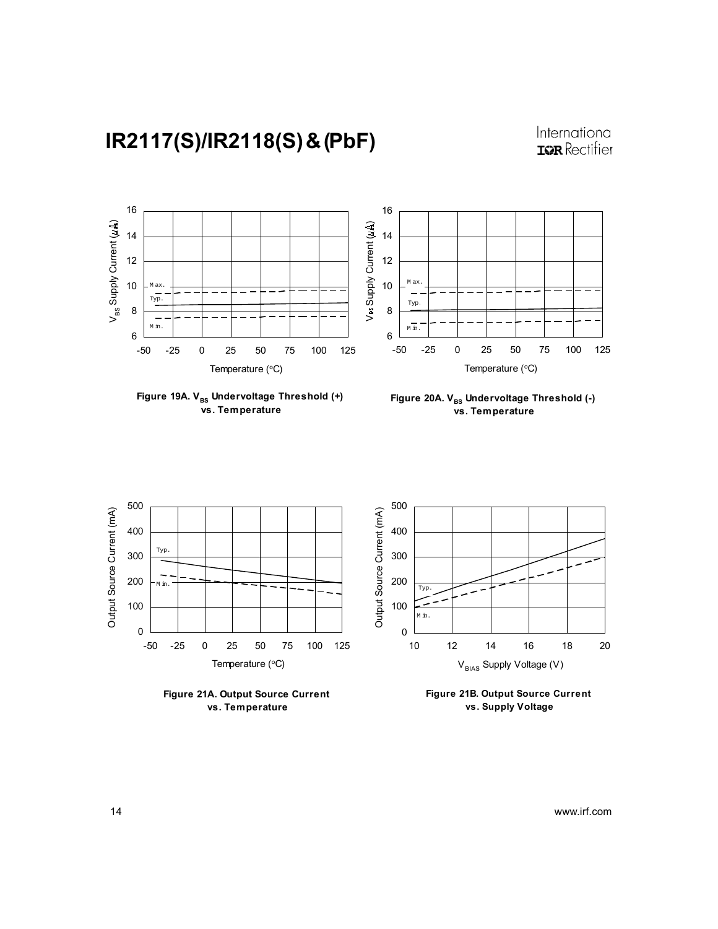

Figure 19A. V<sub>BS</sub> Undervoltage Threshold (+)  **vs. Temperature**





**Figure 21A. Output Source Current vs. Temperature**

**Figure 21B. Output Source Current vs. Supply Voltage**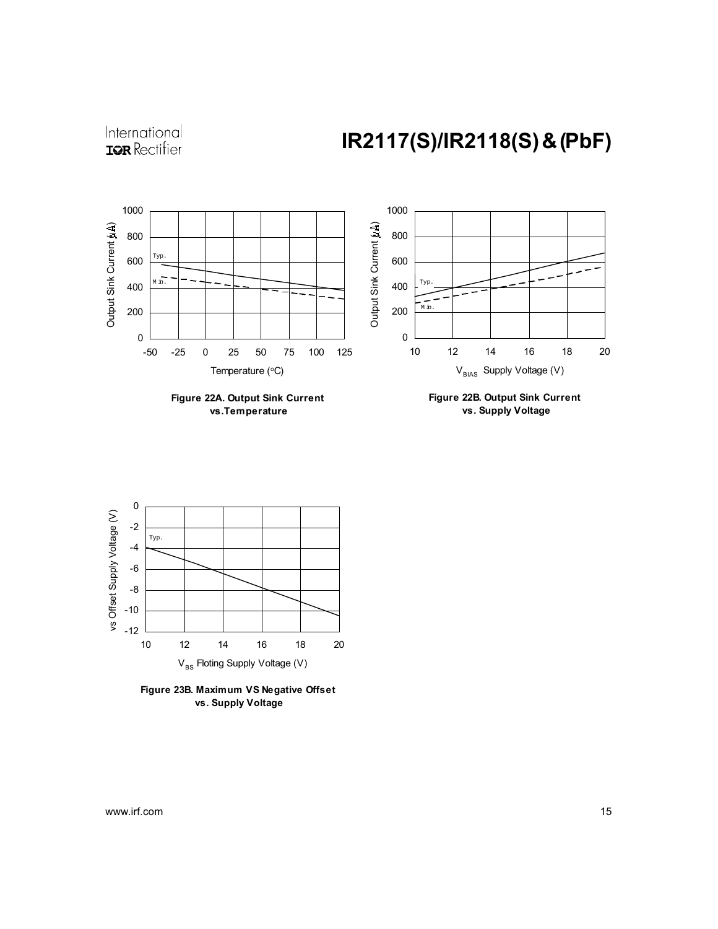



 **vs.Temperature**

**Figure 22B. Output Sink Current vs. Supply Voltage**



**Figure 23B. Maximum VS Negative Offset vs. Supply Voltage**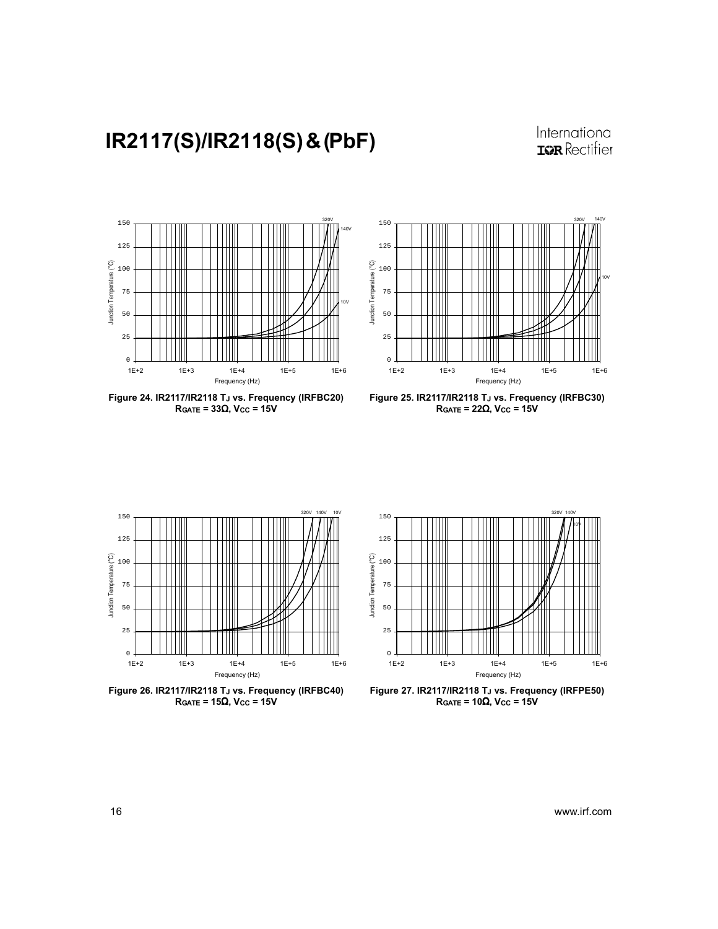International **IOR** Rectifier



Figure 24. IR2117/IR2118 TJ vs. Frequency (IRFBC20)  $R_{GATE} = 33\Omega$ , V<sub>CC</sub> = 15V



Figure 25. IR2117/IR2118 TJ vs. Frequency (IRFBC30)  $R_{GATE} = 22\Omega$ , V<sub>CC</sub> = 15V



Figure 26. IR2117/IR2118 TJ vs. Frequency (IRFBC40)  $R_{GATE} = 15\Omega$ , Vcc = 15V

![](_page_15_Figure_8.jpeg)

Figure 27. IR2117/IR2118 TJ vs. Frequency (IRFPE50)  $R_{GATE} = 10\Omega$ , Vcc = 15V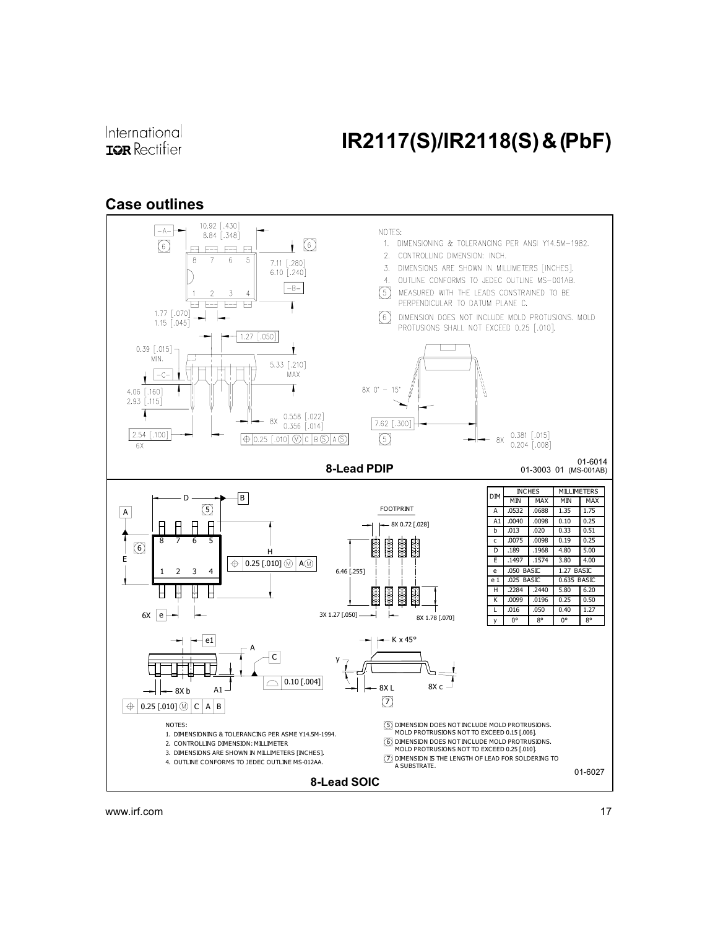### International **IOR** Rectifier

# IR2117(S)/IR2118(S) & (PbF)

### Case outlines

![](_page_16_Figure_3.jpeg)